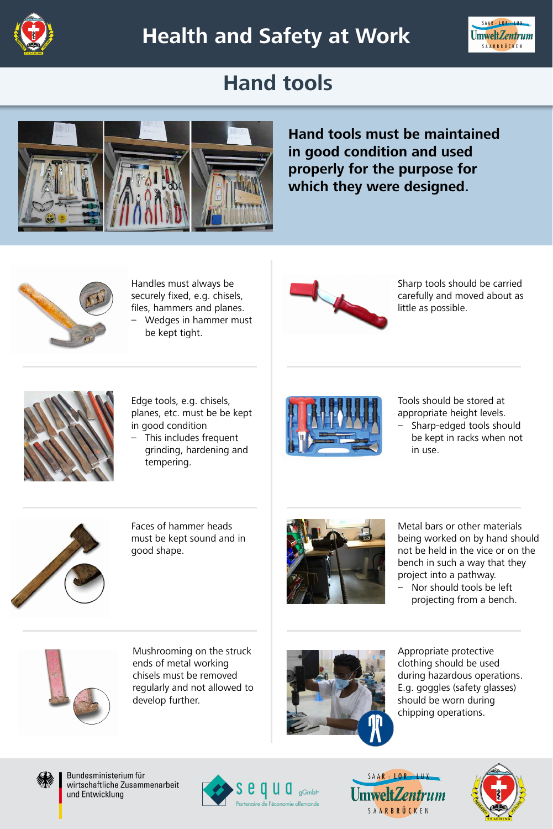## **Hand tools**





# **Health and Safety at Work**



**Hand tools must be maintained in good condition and used properly for the purpose for which they were designed.** 



Handles must always be securely fixed, e.g. chisels, files, hammers and planes.

– Wedges in hammer must be kept tight.



Edge tools, e.g. chisels, planes, etc. must be be kept in good condition



– This includes frequent grinding, hardening and tempering.

Faces of hammer heads must be kept sound and in good shape.



#### Mushrooming on the struck



ends of metal working chisels must be removed regularly and not allowed to develop further.

Sharp tools should be carried carefully and moved about as little as possible.



Tools should be stored at appropriate height levels. – Sharp-edged tools should be kept in racks when not

in use.



Metal bars or other materials being worked on by hand should not be held in the vice or on the bench in such a way that they project into a pathway.

– Nor should tools be left projecting from a bench.



#### Appropriate protective



clothing should be used during hazardous operations. E.g. goggles (safety glasses) should be worn during chipping operations.



Bundesministerium für wirtschaftliche Zusammenarbeit und Entwicklung